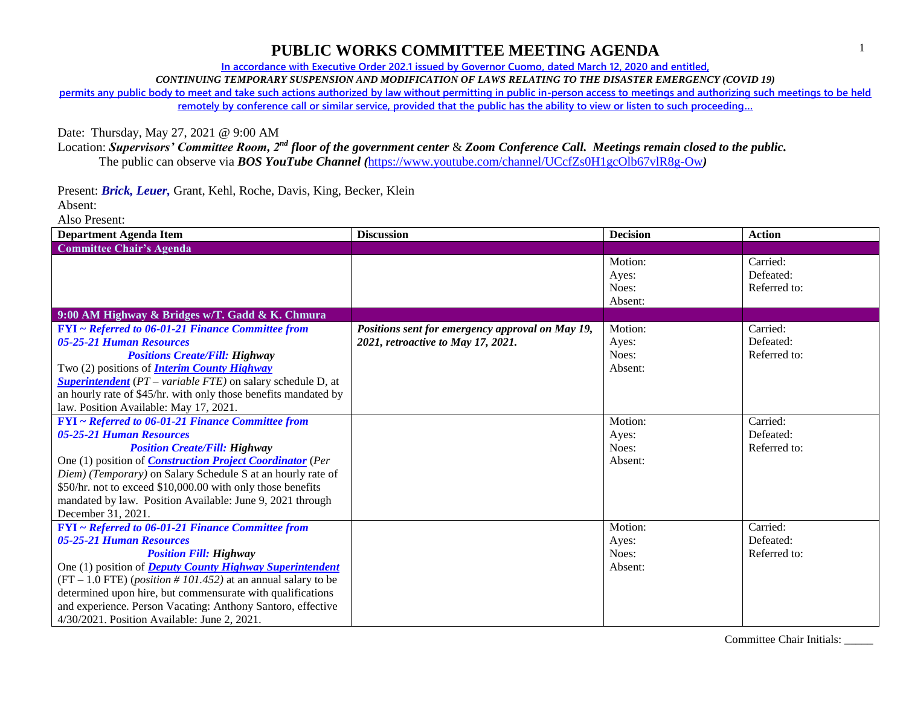**In accordance with Executive Order 202.1 issued by Governor Cuomo, dated March 12, 2020 and entitled,**

*CONTINUING TEMPORARY SUSPENSION AND MODIFICATION OF LAWS RELATING TO THE DISASTER EMERGENCY (COVID 19)*

**permits any public body to meet and take such actions authorized by law without permitting in public in-person access to meetings and authorizing such meetings to be held remotely by conference call or similar service, provided that the public has the ability to view or listen to such proceeding…**

Date: Thursday, May 27, 2021 @ 9:00 AM

Location: *Supervisors' Committee Room, 2nd floor of the government center* & *Zoom Conference Call. Meetings remain closed to the public.* The public can observe via *BOS YouTube Channel (*<https://www.youtube.com/channel/UCcfZs0H1gcOlb67vlR8g-Ow>*)*

Present: *Brick, Leuer,* Grant, Kehl, Roche, Davis, King, Becker, Klein

Absent: Also Present:

| Department Agenda Item                                                                                                                                                                                                                                                                                                                                                                                                                    | <b>Discussion</b>                                                                      | <b>Decision</b>                      | <b>Action</b>                         |
|-------------------------------------------------------------------------------------------------------------------------------------------------------------------------------------------------------------------------------------------------------------------------------------------------------------------------------------------------------------------------------------------------------------------------------------------|----------------------------------------------------------------------------------------|--------------------------------------|---------------------------------------|
| <b>Committee Chair's Agenda</b>                                                                                                                                                                                                                                                                                                                                                                                                           |                                                                                        |                                      |                                       |
|                                                                                                                                                                                                                                                                                                                                                                                                                                           |                                                                                        | Motion:<br>Ayes:<br>Noes:<br>Absent: | Carried:<br>Defeated:<br>Referred to: |
| 9:00 AM Highway & Bridges w/T. Gadd & K. Chmura                                                                                                                                                                                                                                                                                                                                                                                           |                                                                                        |                                      |                                       |
| FYI ~ Referred to 06-01-21 Finance Committee from<br>05-25-21 Human Resources<br><b>Positions Create/Fill: Highway</b><br>Two (2) positions of <i>Interim County Highway</i><br><b>Superintendent</b> ( $PT$ – variable FTE) on salary schedule D, at<br>an hourly rate of \$45/hr. with only those benefits mandated by<br>law. Position Available: May 17, 2021.                                                                        | Positions sent for emergency approval on May 19,<br>2021, retroactive to May 17, 2021. | Motion:<br>Ayes:<br>Noes:<br>Absent: | Carried:<br>Defeated:<br>Referred to: |
| FYI ~ Referred to 06-01-21 Finance Committee from<br>05-25-21 Human Resources<br><b>Position Create/Fill: Highway</b><br>One (1) position of <i>Construction Project Coordinator</i> (Per<br>Diem) (Temporary) on Salary Schedule S at an hourly rate of<br>\$50/hr. not to exceed \$10,000.00 with only those benefits<br>mandated by law. Position Available: June 9, 2021 through<br>December 31, 2021.                                |                                                                                        | Motion:<br>Ayes:<br>Noes:<br>Absent: | Carried:<br>Defeated:<br>Referred to: |
| FYI ~ Referred to 06-01-21 Finance Committee from<br>05-25-21 Human Resources<br><b>Position Fill: Highway</b><br>One (1) position of <b>Deputy County Highway Superintendent</b><br>$(FT - 1.0 FTE)$ ( <i>position #101.452</i> ) at an annual salary to be<br>determined upon hire, but commensurate with qualifications<br>and experience. Person Vacating: Anthony Santoro, effective<br>4/30/2021. Position Available: June 2, 2021. |                                                                                        | Motion:<br>Ayes:<br>Noes:<br>Absent: | Carried:<br>Defeated:<br>Referred to: |

Committee Chair Initials: \_\_\_\_\_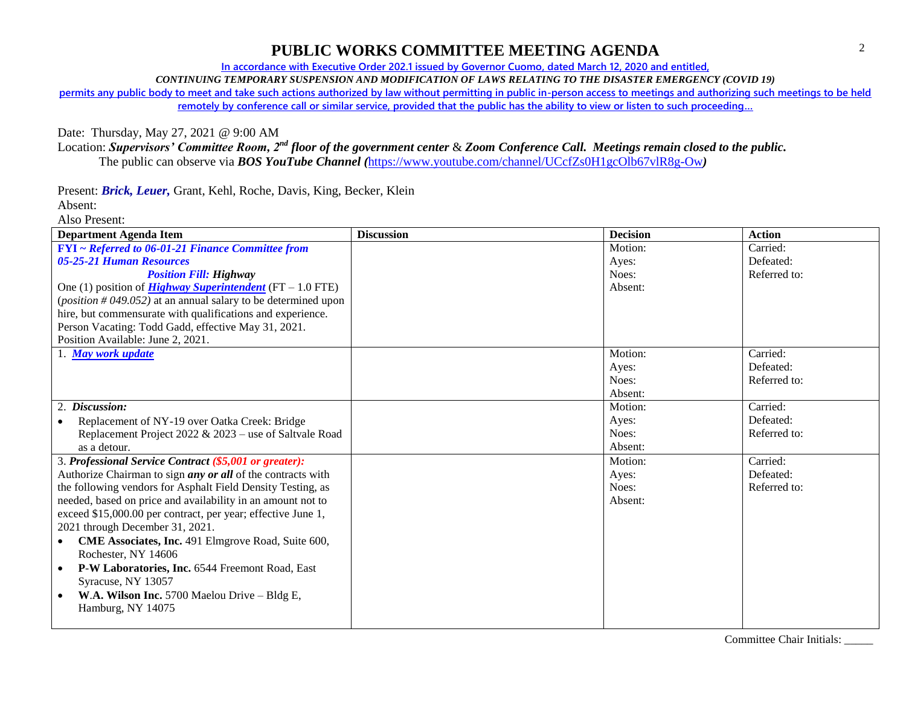**In accordance with Executive Order 202.1 issued by Governor Cuomo, dated March 12, 2020 and entitled,**

*CONTINUING TEMPORARY SUSPENSION AND MODIFICATION OF LAWS RELATING TO THE DISASTER EMERGENCY (COVID 19)*

**permits any public body to meet and take such actions authorized by law without permitting in public in-person access to meetings and authorizing such meetings to be held remotely by conference call or similar service, provided that the public has the ability to view or listen to such proceeding…**

Date: Thursday, May 27, 2021 @ 9:00 AM

Location: *Supervisors' Committee Room, 2nd floor of the government center* & *Zoom Conference Call. Meetings remain closed to the public.* The public can observe via *BOS YouTube Channel (*<https://www.youtube.com/channel/UCcfZs0H1gcOlb67vlR8g-Ow>*)*

Present: *Brick, Leuer,* Grant, Kehl, Roche, Davis, King, Becker, Klein

Absent:

Also Present:

| <b>Department Agenda Item</b>                                             | <b>Discussion</b> | <b>Decision</b> | <b>Action</b> |
|---------------------------------------------------------------------------|-------------------|-----------------|---------------|
| FYI ~ Referred to 06-01-21 Finance Committee from                         |                   | Motion:         | Carried:      |
| 05-25-21 Human Resources                                                  |                   | Ayes:           | Defeated:     |
| <b>Position Fill: Highway</b>                                             |                   | Noes:           | Referred to:  |
| One (1) position of <i>Highway Superintendent</i> (FT $-1.0$ FTE)         |                   | Absent:         |               |
| ( <i>position</i> $\#$ 049.052) at an annual salary to be determined upon |                   |                 |               |
| hire, but commensurate with qualifications and experience.                |                   |                 |               |
| Person Vacating: Todd Gadd, effective May 31, 2021.                       |                   |                 |               |
| Position Available: June 2, 2021.                                         |                   |                 |               |
| 1. May work update                                                        |                   | Motion:         | Carried:      |
|                                                                           |                   | Ayes:           | Defeated:     |
|                                                                           |                   | Noes:           | Referred to:  |
|                                                                           |                   | Absent:         |               |
| 2. Discussion:                                                            |                   | Motion:         | Carried:      |
| Replacement of NY-19 over Oatka Creek: Bridge                             |                   | Ayes:           | Defeated:     |
| Replacement Project 2022 & 2023 - use of Saltvale Road                    |                   | Noes:           | Referred to:  |
| as a detour.                                                              |                   | Absent:         |               |
| 3. Professional Service Contract (\$5,001 or greater):                    |                   | Motion:         | Carried:      |
| Authorize Chairman to sign <i>any or all</i> of the contracts with        |                   | Ayes:           | Defeated:     |
| the following vendors for Asphalt Field Density Testing, as               |                   | Noes:           | Referred to:  |
| needed, based on price and availability in an amount not to               |                   | Absent:         |               |
| exceed \$15,000.00 per contract, per year; effective June 1,              |                   |                 |               |
| 2021 through December 31, 2021.                                           |                   |                 |               |
| CME Associates, Inc. 491 Elmgrove Road, Suite 600,<br>$\bullet$           |                   |                 |               |
| Rochester, NY 14606                                                       |                   |                 |               |
| P-W Laboratories, Inc. 6544 Freemont Road, East<br>$\bullet$              |                   |                 |               |
| Syracuse, NY 13057                                                        |                   |                 |               |
| W.A. Wilson Inc. 5700 Maelou Drive - Bldg E,                              |                   |                 |               |
| Hamburg, NY 14075                                                         |                   |                 |               |
|                                                                           |                   |                 |               |

Committee Chair Initials: \_\_\_\_\_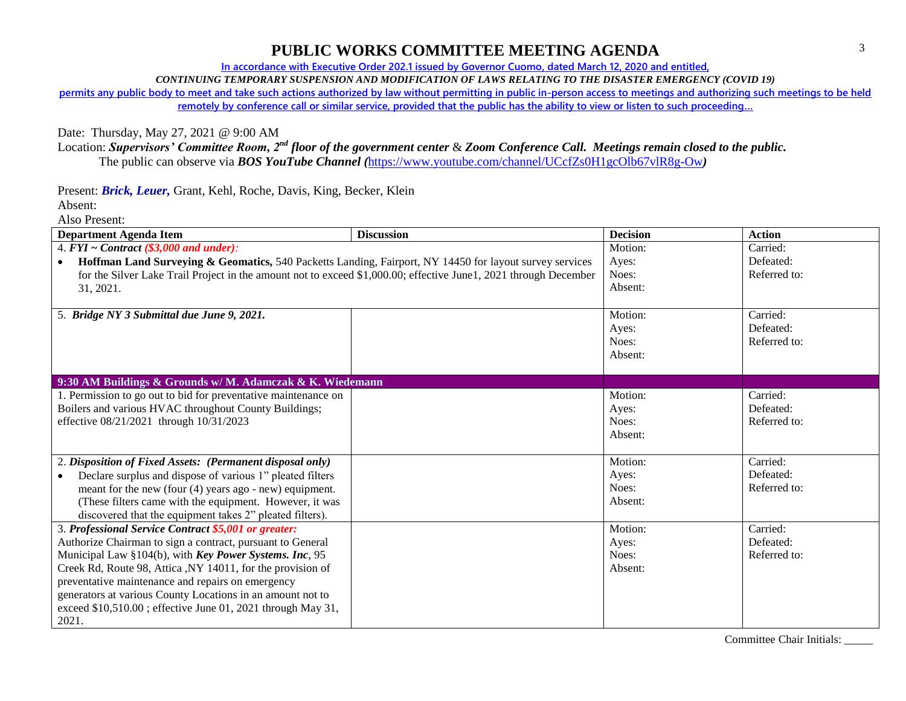**In accordance with Executive Order 202.1 issued by Governor Cuomo, dated March 12, 2020 and entitled,**

*CONTINUING TEMPORARY SUSPENSION AND MODIFICATION OF LAWS RELATING TO THE DISASTER EMERGENCY (COVID 19)*

**permits any public body to meet and take such actions authorized by law without permitting in public in-person access to meetings and authorizing such meetings to be held remotely by conference call or similar service, provided that the public has the ability to view or listen to such proceeding…**

Date: Thursday, May 27, 2021 @ 9:00 AM

Location: *Supervisors' Committee Room, 2nd floor of the government center* & *Zoom Conference Call. Meetings remain closed to the public.* The public can observe via *BOS YouTube Channel (*<https://www.youtube.com/channel/UCcfZs0H1gcOlb67vlR8g-Ow>*)*

Present: *Brick, Leuer,* Grant, Kehl, Roche, Davis, King, Becker, Klein

Absent:

Also Present:

| <b>Department Agenda Item</b>                                                                                        | <b>Discussion</b> | <b>Decision</b> | <b>Action</b> |
|----------------------------------------------------------------------------------------------------------------------|-------------------|-----------------|---------------|
| 4. $FYI \sim Contract$ (\$3,000 and under):                                                                          |                   | Motion:         | Carried:      |
| Hoffman Land Surveying & Geomatics, 540 Packetts Landing, Fairport, NY 14450 for layout survey services              |                   | Ayes:           | Defeated:     |
| for the Silver Lake Trail Project in the amount not to exceed \$1,000.00; effective June1, 2021 through December     |                   | Noes:           | Referred to:  |
| 31, 2021.                                                                                                            |                   | Absent:         |               |
|                                                                                                                      |                   |                 |               |
| 5. Bridge NY 3 Submittal due June 9, 2021.                                                                           |                   | Motion:         | Carried:      |
|                                                                                                                      |                   | Ayes:           | Defeated:     |
|                                                                                                                      |                   | Noes:           | Referred to:  |
|                                                                                                                      |                   | Absent:         |               |
|                                                                                                                      |                   |                 |               |
| 9:30 AM Buildings & Grounds w/M. Adamczak & K. Wiedemann                                                             |                   |                 |               |
| 1. Permission to go out to bid for preventative maintenance on                                                       |                   | Motion:         | Carried:      |
| Boilers and various HVAC throughout County Buildings;                                                                |                   | Ayes:           | Defeated:     |
| effective 08/21/2021 through 10/31/2023                                                                              |                   | Noes:           | Referred to:  |
|                                                                                                                      |                   | Absent:         |               |
| 2. Disposition of Fixed Assets: (Permanent disposal only)                                                            |                   | Motion:         | Carried:      |
| Declare surplus and dispose of various 1" pleated filters                                                            |                   | Ayes:           | Defeated:     |
| meant for the new (four $(4)$ years ago - new) equipment.                                                            |                   | Noes:           | Referred to:  |
| (These filters came with the equipment. However, it was                                                              |                   | Absent:         |               |
| discovered that the equipment takes 2" pleated filters).                                                             |                   |                 |               |
| 3. Professional Service Contract \$5,001 or greater:                                                                 |                   | Motion:         | Carried:      |
|                                                                                                                      |                   |                 | Defeated:     |
| Authorize Chairman to sign a contract, pursuant to General<br>Municipal Law §104(b), with Key Power Systems. Inc, 95 |                   | Ayes:<br>Noes:  | Referred to:  |
|                                                                                                                      |                   |                 |               |
| Creek Rd, Route 98, Attica , NY 14011, for the provision of                                                          |                   | Absent:         |               |
| preventative maintenance and repairs on emergency                                                                    |                   |                 |               |
| generators at various County Locations in an amount not to                                                           |                   |                 |               |
| exceed \$10,510.00; effective June 01, 2021 through May 31,                                                          |                   |                 |               |
| 2021.                                                                                                                |                   |                 |               |

Committee Chair Initials: \_\_\_\_\_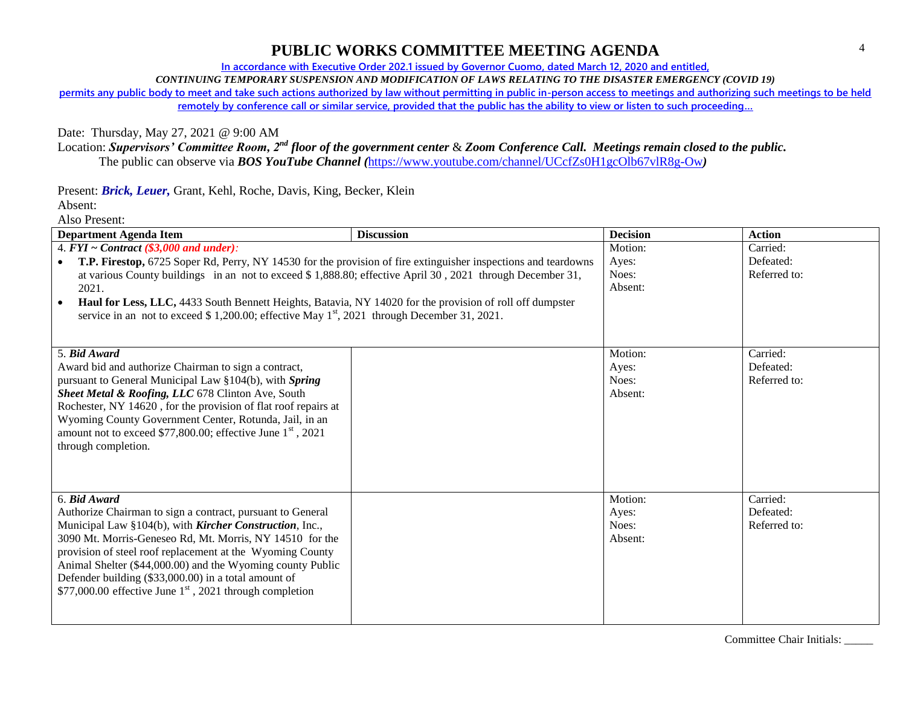**In accordance with Executive Order 202.1 issued by Governor Cuomo, dated March 12, 2020 and entitled,**

*CONTINUING TEMPORARY SUSPENSION AND MODIFICATION OF LAWS RELATING TO THE DISASTER EMERGENCY (COVID 19)*

**permits any public body to meet and take such actions authorized by law without permitting in public in-person access to meetings and authorizing such meetings to be held remotely by conference call or similar service, provided that the public has the ability to view or listen to such proceeding…**

Date: Thursday, May 27, 2021 @ 9:00 AM

Location: *Supervisors' Committee Room, 2nd floor of the government center* & *Zoom Conference Call. Meetings remain closed to the public.* The public can observe via *BOS YouTube Channel (*<https://www.youtube.com/channel/UCcfZs0H1gcOlb67vlR8g-Ow>*)*

Present: *Brick, Leuer,* Grant, Kehl, Roche, Davis, King, Becker, Klein

Absent:

Also Present:

| <b>Department Agenda Item</b>                                                                                         | <b>Discussion</b> | <b>Decision</b>  | <b>Action</b> |
|-----------------------------------------------------------------------------------------------------------------------|-------------------|------------------|---------------|
| 4. $FYI \sim Contract$ (\$3,000 and under):                                                                           |                   | Motion:          | Carried:      |
| T.P. Firestop, 6725 Soper Rd, Perry, NY 14530 for the provision of fire extinguisher inspections and teardowns        |                   | Ayes:            | Defeated:     |
| at various County buildings in an not to exceed \$1,888.80; effective April 30, 2021 through December 31,             |                   | Noes:            | Referred to:  |
| 2021.                                                                                                                 |                   | Absent:          |               |
| Haul for Less, LLC, 4433 South Bennett Heights, Batavia, NY 14020 for the provision of roll off dumpster<br>$\bullet$ |                   |                  |               |
| service in an not to exceed \$1,200.00; effective May $1st$ , 2021 through December 31, 2021.                         |                   |                  |               |
|                                                                                                                       |                   |                  |               |
|                                                                                                                       |                   |                  |               |
| 5. Bid Award                                                                                                          |                   | Motion:          | Carried:      |
| Award bid and authorize Chairman to sign a contract,                                                                  |                   | Ayes:            | Defeated:     |
| pursuant to General Municipal Law §104(b), with Spring<br>Sheet Metal & Roofing, LLC 678 Clinton Ave, South           |                   | Noes:<br>Absent: | Referred to:  |
| Rochester, NY 14620, for the provision of flat roof repairs at                                                        |                   |                  |               |
| Wyoming County Government Center, Rotunda, Jail, in an                                                                |                   |                  |               |
| amount not to exceed \$77,800.00; effective June 1 <sup>st</sup> , 2021                                               |                   |                  |               |
| through completion.                                                                                                   |                   |                  |               |
|                                                                                                                       |                   |                  |               |
|                                                                                                                       |                   |                  |               |
|                                                                                                                       |                   |                  |               |
| 6. Bid Award                                                                                                          |                   | Motion:          | Carried:      |
| Authorize Chairman to sign a contract, pursuant to General                                                            |                   | Ayes:            | Defeated:     |
| Municipal Law §104(b), with Kircher Construction, Inc.,                                                               |                   | Noes:            | Referred to:  |
| 3090 Mt. Morris-Geneseo Rd, Mt. Morris, NY 14510 for the                                                              |                   | Absent:          |               |
| provision of steel roof replacement at the Wyoming County                                                             |                   |                  |               |
| Animal Shelter (\$44,000.00) and the Wyoming county Public                                                            |                   |                  |               |
| Defender building (\$33,000.00) in a total amount of                                                                  |                   |                  |               |
| \$77,000.00 effective June $1st$ , 2021 through completion                                                            |                   |                  |               |
|                                                                                                                       |                   |                  |               |
|                                                                                                                       |                   |                  |               |

4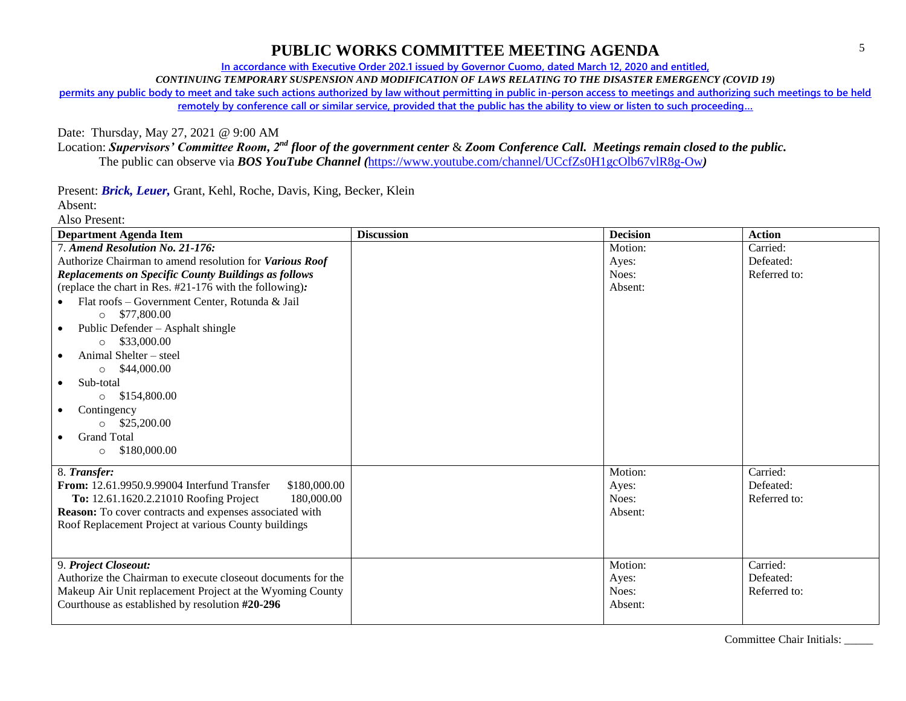**In accordance with Executive Order 202.1 issued by Governor Cuomo, dated March 12, 2020 and entitled,**

*CONTINUING TEMPORARY SUSPENSION AND MODIFICATION OF LAWS RELATING TO THE DISASTER EMERGENCY (COVID 19)*

**permits any public body to meet and take such actions authorized by law without permitting in public in-person access to meetings and authorizing such meetings to be held remotely by conference call or similar service, provided that the public has the ability to view or listen to such proceeding…**

Date: Thursday, May 27, 2021 @ 9:00 AM

Location: *Supervisors' Committee Room, 2nd floor of the government center* & *Zoom Conference Call. Meetings remain closed to the public.* The public can observe via *BOS YouTube Channel (*<https://www.youtube.com/channel/UCcfZs0H1gcOlb67vlR8g-Ow>*)*

Present: *Brick, Leuer,* Grant, Kehl, Roche, Davis, King, Becker, Klein

Absent: Also Present:

| <b>Department Agenda Item</b>                                | <b>Discussion</b> | <b>Decision</b> | <b>Action</b> |
|--------------------------------------------------------------|-------------------|-----------------|---------------|
| 7. Amend Resolution No. 21-176:                              |                   | Motion:         | Carried:      |
| Authorize Chairman to amend resolution for Various Roof      |                   | Ayes:           | Defeated:     |
| <b>Replacements on Specific County Buildings as follows</b>  |                   | Noes:           | Referred to:  |
| (replace the chart in Res. $\#21-176$ with the following):   |                   | Absent:         |               |
| Flat roofs - Government Center, Rotunda & Jail               |                   |                 |               |
| \$77,800.00<br>$\circ$                                       |                   |                 |               |
| Public Defender – Asphalt shingle<br>$\bullet$               |                   |                 |               |
| \$33,000.00<br>$\circ$                                       |                   |                 |               |
| Animal Shelter - steel                                       |                   |                 |               |
| \$44,000.00<br>$\circ$                                       |                   |                 |               |
| Sub-total<br>$\bullet$                                       |                   |                 |               |
| \$154,800.00<br>$\circ$                                      |                   |                 |               |
| Contingency                                                  |                   |                 |               |
| \$25,200.00<br>$\circ$                                       |                   |                 |               |
| <b>Grand Total</b><br>$\bullet$                              |                   |                 |               |
| \$180,000.00<br>$\circ$                                      |                   |                 |               |
| 8. Transfer:                                                 |                   | Motion:         | Carried:      |
| From: 12.61.9950.9.99004 Interfund Transfer<br>\$180,000.00  |                   |                 | Defeated:     |
| To: 12.61.1620.2.21010 Roofing Project<br>180,000.00         |                   | Ayes:<br>Noes:  | Referred to:  |
| Reason: To cover contracts and expenses associated with      |                   | Absent:         |               |
| Roof Replacement Project at various County buildings         |                   |                 |               |
|                                                              |                   |                 |               |
|                                                              |                   |                 |               |
| 9. Project Closeout:                                         |                   | Motion:         | Carried:      |
| Authorize the Chairman to execute closeout documents for the |                   | Ayes:           | Defeated:     |
| Makeup Air Unit replacement Project at the Wyoming County    |                   | Noes:           | Referred to:  |
| Courthouse as established by resolution #20-296              |                   | Absent:         |               |
|                                                              |                   |                 |               |